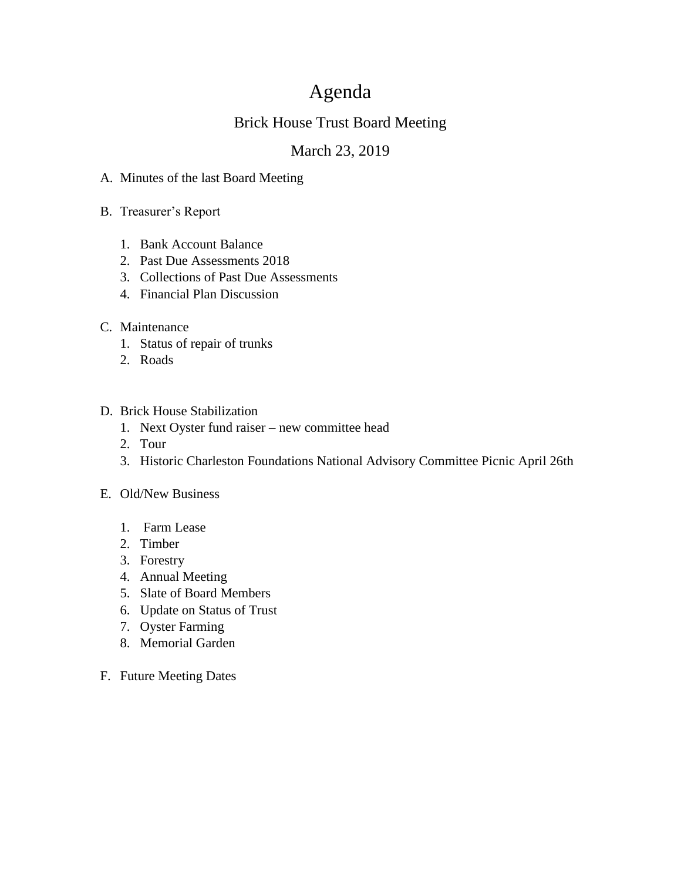# Agenda

# Brick House Trust Board Meeting

# March 23, 2019

- A. Minutes of the last Board Meeting
- B. Treasurer's Report
	- 1. Bank Account Balance
	- 2. Past Due Assessments 2018
	- 3. Collections of Past Due Assessments
	- 4. Financial Plan Discussion

## C. Maintenance

- 1. Status of repair of trunks
- 2. Roads

### D. Brick House Stabilization

- 1. Next Oyster fund raiser new committee head
- 2. Tour
- 3. Historic Charleston Foundations National Advisory Committee Picnic April 26th

#### E. Old/New Business

- 1. Farm Lease
- 2. Timber
- 3. Forestry
- 4. Annual Meeting
- 5. Slate of Board Members
- 6. Update on Status of Trust
- 7. Oyster Farming
- 8. Memorial Garden
- F. Future Meeting Dates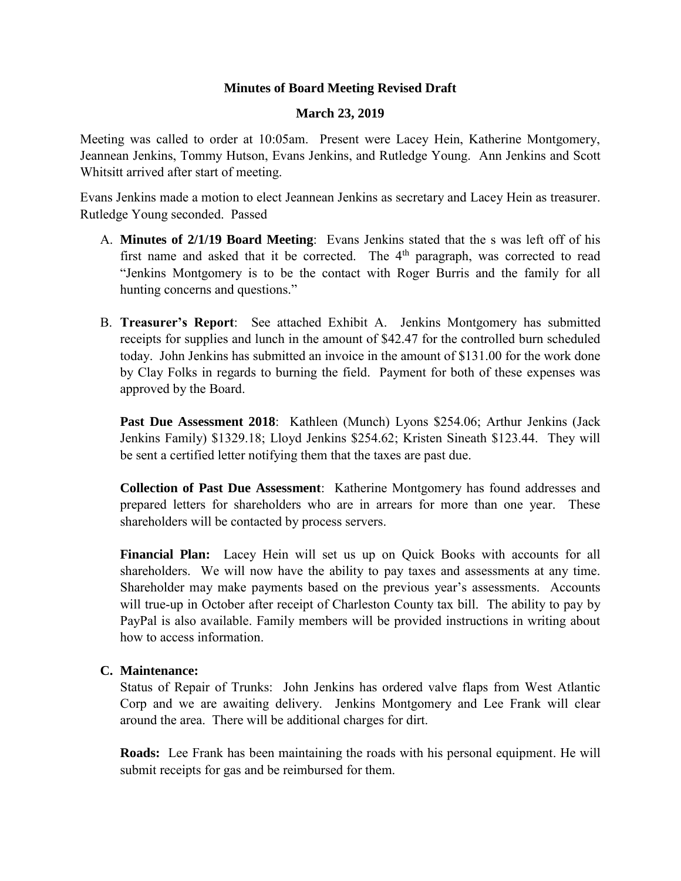### **Minutes of Board Meeting Revised Draft**

#### **March 23, 2019**

Meeting was called to order at 10:05am. Present were Lacey Hein, Katherine Montgomery, Jeannean Jenkins, Tommy Hutson, Evans Jenkins, and Rutledge Young. Ann Jenkins and Scott Whitsitt arrived after start of meeting.

Evans Jenkins made a motion to elect Jeannean Jenkins as secretary and Lacey Hein as treasurer. Rutledge Young seconded. Passed

- A. **Minutes of 2/1/19 Board Meeting**: Evans Jenkins stated that the s was left off of his first name and asked that it be corrected. The  $4<sup>th</sup>$  paragraph, was corrected to read "Jenkins Montgomery is to be the contact with Roger Burris and the family for all hunting concerns and questions."
- B. **Treasurer's Report**: See attached Exhibit A. Jenkins Montgomery has submitted receipts for supplies and lunch in the amount of \$42.47 for the controlled burn scheduled today. John Jenkins has submitted an invoice in the amount of \$131.00 for the work done by Clay Folks in regards to burning the field. Payment for both of these expenses was approved by the Board.

**Past Due Assessment 2018**: Kathleen (Munch) Lyons \$254.06; Arthur Jenkins (Jack Jenkins Family) \$1329.18; Lloyd Jenkins \$254.62; Kristen Sineath \$123.44. They will be sent a certified letter notifying them that the taxes are past due.

**Collection of Past Due Assessment**: Katherine Montgomery has found addresses and prepared letters for shareholders who are in arrears for more than one year. These shareholders will be contacted by process servers.

**Financial Plan:** Lacey Hein will set us up on Quick Books with accounts for all shareholders. We will now have the ability to pay taxes and assessments at any time. Shareholder may make payments based on the previous year's assessments. Accounts will true-up in October after receipt of Charleston County tax bill. The ability to pay by PayPal is also available. Family members will be provided instructions in writing about how to access information.

#### **C. Maintenance:**

Status of Repair of Trunks: John Jenkins has ordered valve flaps from West Atlantic Corp and we are awaiting delivery. Jenkins Montgomery and Lee Frank will clear around the area. There will be additional charges for dirt.

**Roads:** Lee Frank has been maintaining the roads with his personal equipment. He will submit receipts for gas and be reimbursed for them.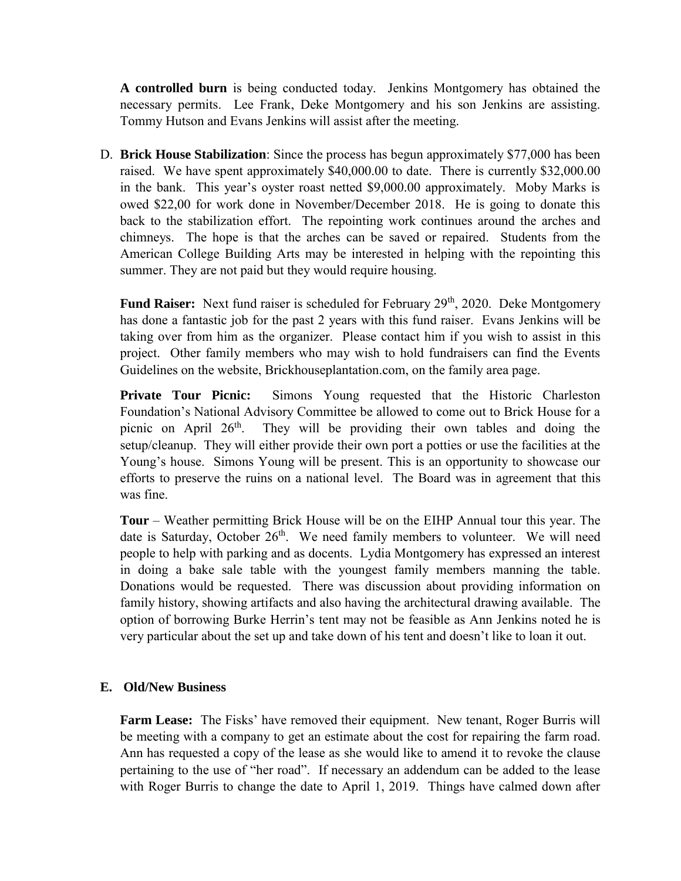**A controlled burn** is being conducted today. Jenkins Montgomery has obtained the necessary permits. Lee Frank, Deke Montgomery and his son Jenkins are assisting. Tommy Hutson and Evans Jenkins will assist after the meeting.

D. **Brick House Stabilization**: Since the process has begun approximately \$77,000 has been raised. We have spent approximately \$40,000.00 to date. There is currently \$32,000.00 in the bank. This year's oyster roast netted \$9,000.00 approximately. Moby Marks is owed \$22,00 for work done in November/December 2018. He is going to donate this back to the stabilization effort. The repointing work continues around the arches and chimneys. The hope is that the arches can be saved or repaired. Students from the American College Building Arts may be interested in helping with the repointing this summer. They are not paid but they would require housing.

Fund Raiser: Next fund raiser is scheduled for February 29<sup>th</sup>, 2020. Deke Montgomery has done a fantastic job for the past 2 years with this fund raiser. Evans Jenkins will be taking over from him as the organizer. Please contact him if you wish to assist in this project. Other family members who may wish to hold fundraisers can find the Events Guidelines on the website, Brickhouseplantation.com, on the family area page.

**Private Tour Picnic:** Simons Young requested that the Historic Charleston Foundation's National Advisory Committee be allowed to come out to Brick House for a picnic on April  $26<sup>th</sup>$ . They will be providing their own tables and doing the setup/cleanup. They will either provide their own port a potties or use the facilities at the Young's house. Simons Young will be present. This is an opportunity to showcase our efforts to preserve the ruins on a national level. The Board was in agreement that this was fine.

**Tour** – Weather permitting Brick House will be on the EIHP Annual tour this year. The date is Saturday, October 26<sup>th</sup>. We need family members to volunteer. We will need people to help with parking and as docents. Lydia Montgomery has expressed an interest in doing a bake sale table with the youngest family members manning the table. Donations would be requested. There was discussion about providing information on family history, showing artifacts and also having the architectural drawing available. The option of borrowing Burke Herrin's tent may not be feasible as Ann Jenkins noted he is very particular about the set up and take down of his tent and doesn't like to loan it out.

#### **E. Old/New Business**

**Farm Lease:** The Fisks' have removed their equipment. New tenant, Roger Burris will be meeting with a company to get an estimate about the cost for repairing the farm road. Ann has requested a copy of the lease as she would like to amend it to revoke the clause pertaining to the use of "her road". If necessary an addendum can be added to the lease with Roger Burris to change the date to April 1, 2019. Things have calmed down after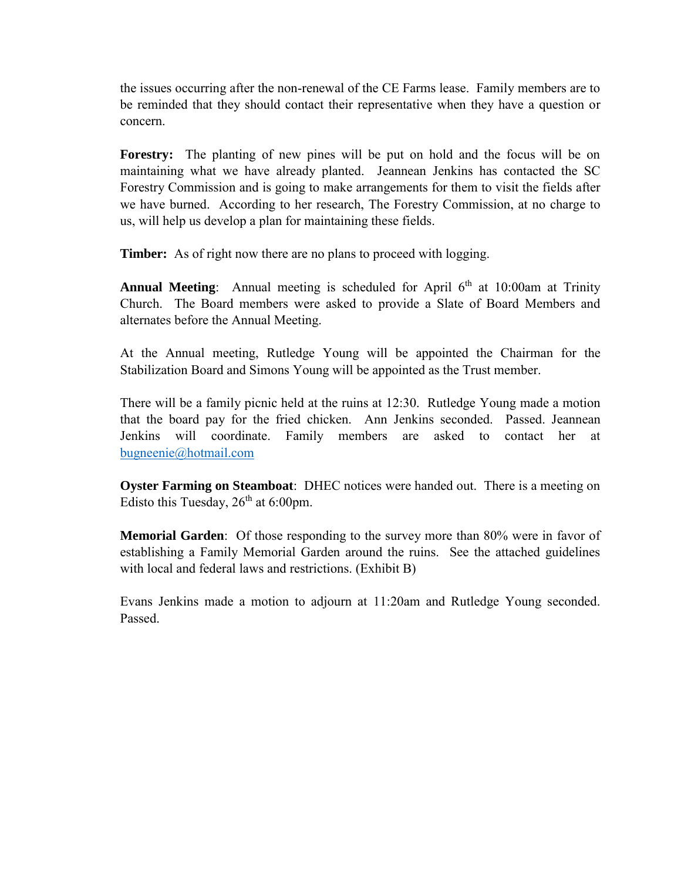the issues occurring after the non-renewal of the CE Farms lease. Family members are to be reminded that they should contact their representative when they have a question or concern.

**Forestry:** The planting of new pines will be put on hold and the focus will be on maintaining what we have already planted. Jeannean Jenkins has contacted the SC Forestry Commission and is going to make arrangements for them to visit the fields after we have burned. According to her research, The Forestry Commission, at no charge to us, will help us develop a plan for maintaining these fields.

**Timber:** As of right now there are no plans to proceed with logging.

**Annual Meeting**: Annual meeting is scheduled for April 6<sup>th</sup> at 10:00am at Trinity Church. The Board members were asked to provide a Slate of Board Members and alternates before the Annual Meeting.

At the Annual meeting, Rutledge Young will be appointed the Chairman for the Stabilization Board and Simons Young will be appointed as the Trust member.

There will be a family picnic held at the ruins at 12:30. Rutledge Young made a motion that the board pay for the fried chicken. Ann Jenkins seconded. Passed. Jeannean Jenkins will coordinate. Family members are asked to contact her at [bugneenie@hotmail.com](mailto:bugneenie@hotmail.com)

**Oyster Farming on Steamboat**: DHEC notices were handed out. There is a meeting on Edisto this Tuesday,  $26^{th}$  at 6:00pm.

**Memorial Garden**: Of those responding to the survey more than 80% were in favor of establishing a Family Memorial Garden around the ruins. See the attached guidelines with local and federal laws and restrictions. (Exhibit B)

Evans Jenkins made a motion to adjourn at 11:20am and Rutledge Young seconded. Passed.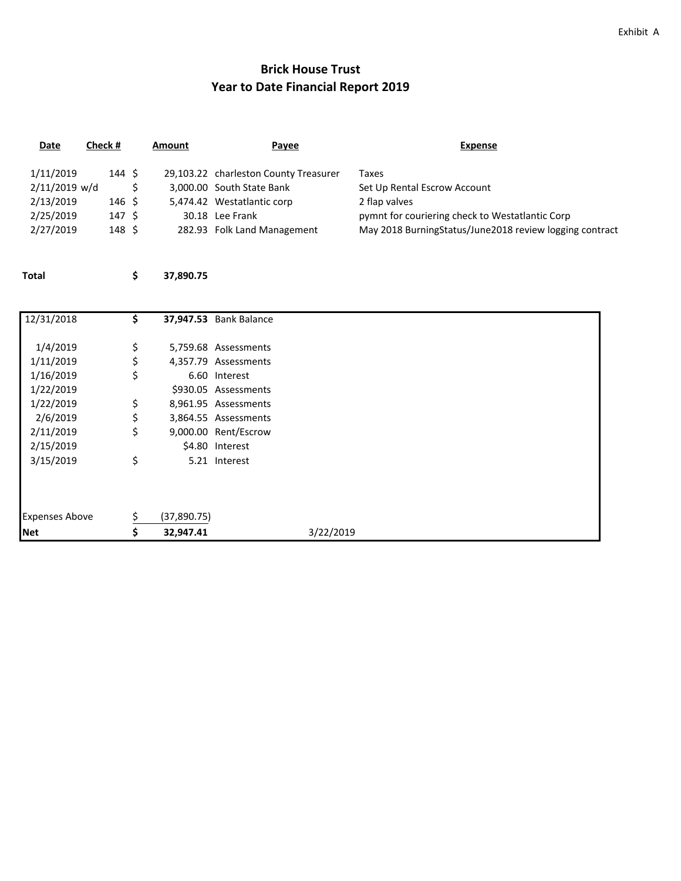#### Exhibit A

# **Brick House Trust Year to Date Financial Report 2019**

| Date                       | Check # |                | Amount | Payee                                                              | Expense                                                                                                    |
|----------------------------|---------|----------------|--------|--------------------------------------------------------------------|------------------------------------------------------------------------------------------------------------|
| 1/11/2019<br>2/11/2019 w/d |         | 144 S          |        | 29,103.22 charleston County Treasurer<br>3,000.00 South State Bank | Taxes<br>Set Up Rental Escrow Account                                                                      |
| 2/13/2019                  |         | 146 S          |        | 5,474.42 Westatlantic corp                                         | 2 flap valves                                                                                              |
| 2/25/2019<br>2/27/2019     |         | 147 S<br>148 S |        | 30.18 Lee Frank<br>282.93 Folk Land Management                     | pymnt for couriering check to Westatlantic Corp<br>May 2018 BurningStatus/June2018 review logging contract |

**Total \$ 37,890.75**

| 12/31/2018            | \$. |             | <b>37,947.53</b> Bank Balance |
|-----------------------|-----|-------------|-------------------------------|
|                       |     |             |                               |
| 1/4/2019              | \$  |             | 5,759.68 Assessments          |
| 1/11/2019             | \$  |             | 4,357.79 Assessments          |
| 1/16/2019             | \$  |             | 6.60 Interest                 |
| 1/22/2019             |     |             | \$930.05 Assessments          |
| 1/22/2019             | \$  |             | 8,961.95 Assessments          |
| 2/6/2019              | \$  |             | 3,864.55 Assessments          |
| 2/11/2019             | \$  |             | 9,000.00 Rent/Escrow          |
| 2/15/2019             |     |             | \$4.80 Interest               |
| 3/15/2019             | \$  |             | 5.21 Interest                 |
|                       |     |             |                               |
| <b>Expenses Above</b> | S   | (37,890.75) |                               |
| <b>Net</b>            |     | 32,947.41   | 3/22/2019                     |